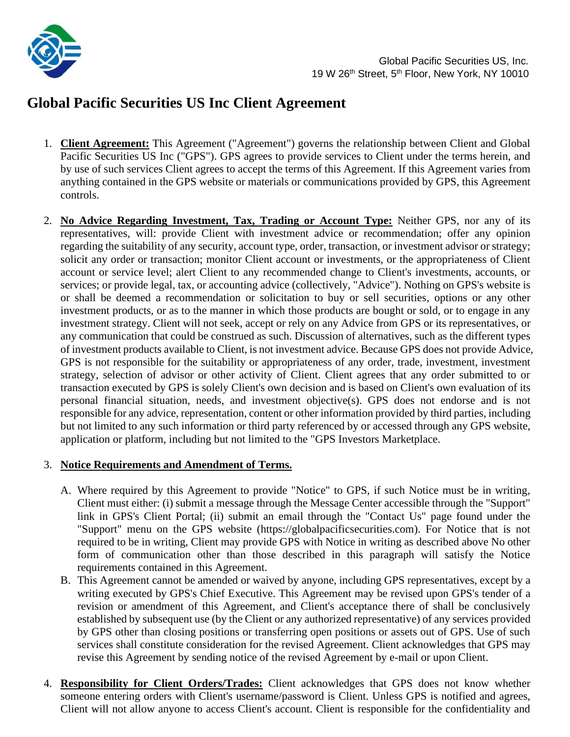

# **Global Pacific Securities US Inc Client Agreement**

- 1. **Client Agreement:** This Agreement ("Agreement") governs the relationship between Client and Global Pacific Securities US Inc ("GPS"). GPS agrees to provide services to Client under the terms herein, and by use of such services Client agrees to accept the terms of this Agreement. If this Agreement varies from anything contained in the GPS website or materials or communications provided by GPS, this Agreement controls.
- 2. **No Advice Regarding Investment, Tax, Trading or Account Type:** Neither GPS, nor any of its representatives, will: provide Client with investment advice or recommendation; offer any opinion regarding the suitability of any security, account type, order, transaction, or investment advisor or strategy; solicit any order or transaction; monitor Client account or investments, or the appropriateness of Client account or service level; alert Client to any recommended change to Client's investments, accounts, or services; or provide legal, tax, or accounting advice (collectively, "Advice"). Nothing on GPS's website is or shall be deemed a recommendation or solicitation to buy or sell securities, options or any other investment products, or as to the manner in which those products are bought or sold, or to engage in any investment strategy. Client will not seek, accept or rely on any Advice from GPS or its representatives, or any communication that could be construed as such. Discussion of alternatives, such as the different types of investment products available to Client, is not investment advice. Because GPS does not provide Advice, GPS is not responsible for the suitability or appropriateness of any order, trade, investment, investment strategy, selection of advisor or other activity of Client. Client agrees that any order submitted to or transaction executed by GPS is solely Client's own decision and is based on Client's own evaluation of its personal financial situation, needs, and investment objective(s). GPS does not endorse and is not responsible for any advice, representation, content or other information provided by third parties, including but not limited to any such information or third party referenced by or accessed through any GPS website, application or platform, including but not limited to the "GPS Investors Marketplace.

### 3. **Notice Requirements and Amendment of Terms.**

- A. Where required by this Agreement to provide "Notice" to GPS, if such Notice must be in writing, Client must either: (i) submit a message through the Message Center accessible through the "Support" link in GPS's Client Portal; (ii) submit an email through the "Contact Us" page found under the "Support" menu on the GPS website (https://globalpacificsecurities.com). For Notice that is not required to be in writing, Client may provide GPS with Notice in writing as described above No other form of communication other than those described in this paragraph will satisfy the Notice requirements contained in this Agreement.
- B. This Agreement cannot be amended or waived by anyone, including GPS representatives, except by a writing executed by GPS's Chief Executive. This Agreement may be revised upon GPS's tender of a revision or amendment of this Agreement, and Client's acceptance there of shall be conclusively established by subsequent use (by the Client or any authorized representative) of any services provided by GPS other than closing positions or transferring open positions or assets out of GPS. Use of such services shall constitute consideration for the revised Agreement. Client acknowledges that GPS may revise this Agreement by sending notice of the revised Agreement by e-mail or upon Client.
- 4. **Responsibility for Client Orders/Trades:** Client acknowledges that GPS does not know whether someone entering orders with Client's username/password is Client. Unless GPS is notified and agrees, Client will not allow anyone to access Client's account. Client is responsible for the confidentiality and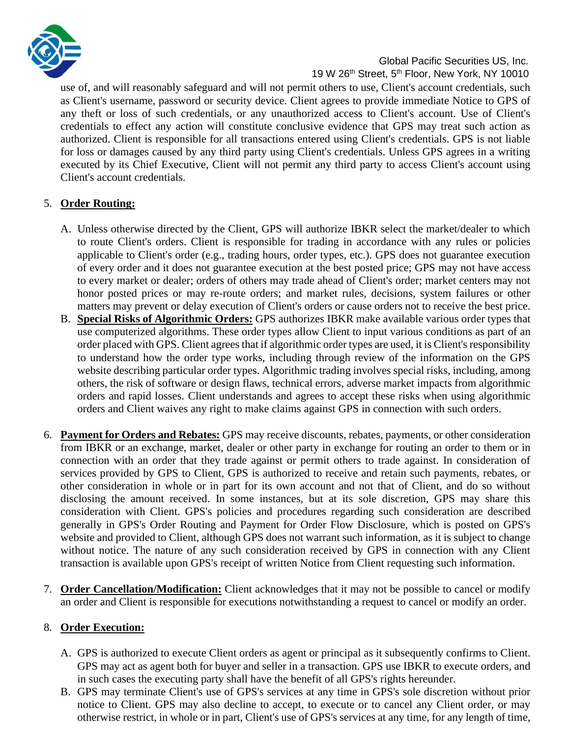

use of, and will reasonably safeguard and will not permit others to use, Client's account credentials, such as Client's username, password or security device. Client agrees to provide immediate Notice to GPS of any theft or loss of such credentials, or any unauthorized access to Client's account. Use of Client's credentials to effect any action will constitute conclusive evidence that GPS may treat such action as authorized. Client is responsible for all transactions entered using Client's credentials. GPS is not liable for loss or damages caused by any third party using Client's credentials. Unless GPS agrees in a writing executed by its Chief Executive, Client will not permit any third party to access Client's account using Client's account credentials.

# 5. **Order Routing:**

- A. Unless otherwise directed by the Client, GPS will authorize IBKR select the market/dealer to which to route Client's orders. Client is responsible for trading in accordance with any rules or policies applicable to Client's order (e.g., trading hours, order types, etc.). GPS does not guarantee execution of every order and it does not guarantee execution at the best posted price; GPS may not have access to every market or dealer; orders of others may trade ahead of Client's order; market centers may not honor posted prices or may re-route orders; and market rules, decisions, system failures or other matters may prevent or delay execution of Client's orders or cause orders not to receive the best price.
- B. **Special Risks of Algorithmic Orders:** GPS authorizes IBKR make available various order types that use computerized algorithms. These order types allow Client to input various conditions as part of an order placed with GPS. Client agrees that if algorithmic order types are used, it is Client's responsibility to understand how the order type works, including through review of the information on the GPS website describing particular order types. Algorithmic trading involves special risks, including, among others, the risk of software or design flaws, technical errors, adverse market impacts from algorithmic orders and rapid losses. Client understands and agrees to accept these risks when using algorithmic orders and Client waives any right to make claims against GPS in connection with such orders.
- 6. **Payment for Orders and Rebates:** GPS may receive discounts, rebates, payments, or other consideration from IBKR or an exchange, market, dealer or other party in exchange for routing an order to them or in connection with an order that they trade against or permit others to trade against. In consideration of services provided by GPS to Client, GPS is authorized to receive and retain such payments, rebates, or other consideration in whole or in part for its own account and not that of Client, and do so without disclosing the amount received. In some instances, but at its sole discretion, GPS may share this consideration with Client. GPS's policies and procedures regarding such consideration are described generally in GPS's Order Routing and Payment for Order Flow Disclosure, which is posted on GPS's website and provided to Client, although GPS does not warrant such information, as it is subject to change without notice. The nature of any such consideration received by GPS in connection with any Client transaction is available upon GPS's receipt of written Notice from Client requesting such information.
- 7. **Order Cancellation/Modification:** Client acknowledges that it may not be possible to cancel or modify an order and Client is responsible for executions notwithstanding a request to cancel or modify an order.

### 8. **Order Execution:**

- A. GPS is authorized to execute Client orders as agent or principal as it subsequently confirms to Client. GPS may act as agent both for buyer and seller in a transaction. GPS use IBKR to execute orders, and in such cases the executing party shall have the benefit of all GPS's rights hereunder.
- B. GPS may terminate Client's use of GPS's services at any time in GPS's sole discretion without prior notice to Client. GPS may also decline to accept, to execute or to cancel any Client order, or may otherwise restrict, in whole or in part, Client's use of GPS's services at any time, for any length of time,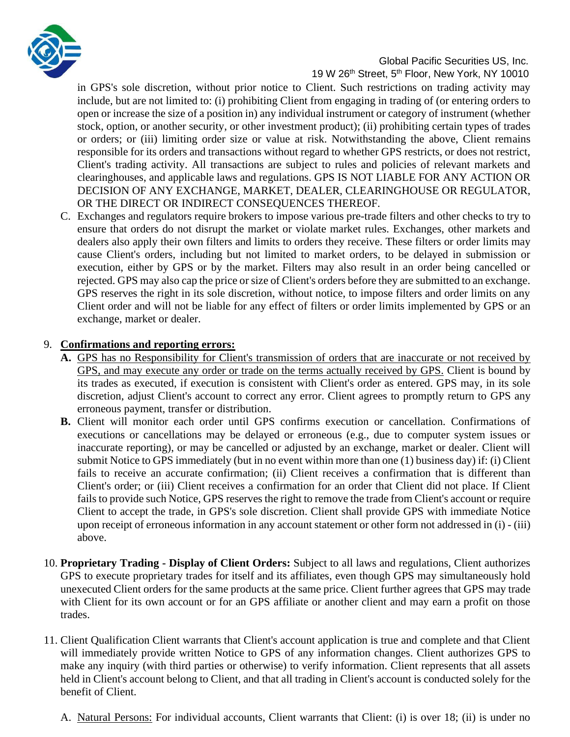

in GPS's sole discretion, without prior notice to Client. Such restrictions on trading activity may include, but are not limited to: (i) prohibiting Client from engaging in trading of (or entering orders to open or increase the size of a position in) any individual instrument or category of instrument (whether stock, option, or another security, or other investment product); (ii) prohibiting certain types of trades or orders; or (iii) limiting order size or value at risk. Notwithstanding the above, Client remains responsible for its orders and transactions without regard to whether GPS restricts, or does not restrict, Client's trading activity. All transactions are subject to rules and policies of relevant markets and clearinghouses, and applicable laws and regulations. GPS IS NOT LIABLE FOR ANY ACTION OR DECISION OF ANY EXCHANGE, MARKET, DEALER, CLEARINGHOUSE OR REGULATOR, OR THE DIRECT OR INDIRECT CONSEQUENCES THEREOF.

C. Exchanges and regulators require brokers to impose various pre-trade filters and other checks to try to ensure that orders do not disrupt the market or violate market rules. Exchanges, other markets and dealers also apply their own filters and limits to orders they receive. These filters or order limits may cause Client's orders, including but not limited to market orders, to be delayed in submission or execution, either by GPS or by the market. Filters may also result in an order being cancelled or rejected. GPS may also cap the price or size of Client's orders before they are submitted to an exchange. GPS reserves the right in its sole discretion, without notice, to impose filters and order limits on any Client order and will not be liable for any effect of filters or order limits implemented by GPS or an exchange, market or dealer.

### 9. **Confirmations and reporting errors:**

- **A.** GPS has no Responsibility for Client's transmission of orders that are inaccurate or not received by GPS, and may execute any order or trade on the terms actually received by GPS. Client is bound by its trades as executed, if execution is consistent with Client's order as entered. GPS may, in its sole discretion, adjust Client's account to correct any error. Client agrees to promptly return to GPS any erroneous payment, transfer or distribution.
- **B.** Client will monitor each order until GPS confirms execution or cancellation. Confirmations of executions or cancellations may be delayed or erroneous (e.g., due to computer system issues or inaccurate reporting), or may be cancelled or adjusted by an exchange, market or dealer. Client will submit Notice to GPS immediately (but in no event within more than one (1) business day) if: (i) Client fails to receive an accurate confirmation; (ii) Client receives a confirmation that is different than Client's order; or (iii) Client receives a confirmation for an order that Client did not place. If Client fails to provide such Notice, GPS reserves the right to remove the trade from Client's account or require Client to accept the trade, in GPS's sole discretion. Client shall provide GPS with immediate Notice upon receipt of erroneous information in any account statement or other form not addressed in (i) - (iii) above.
- 10. **Proprietary Trading - Display of Client Orders:** Subject to all laws and regulations, Client authorizes GPS to execute proprietary trades for itself and its affiliates, even though GPS may simultaneously hold unexecuted Client orders for the same products at the same price. Client further agrees that GPS may trade with Client for its own account or for an GPS affiliate or another client and may earn a profit on those trades.
- 11. Client Qualification Client warrants that Client's account application is true and complete and that Client will immediately provide written Notice to GPS of any information changes. Client authorizes GPS to make any inquiry (with third parties or otherwise) to verify information. Client represents that all assets held in Client's account belong to Client, and that all trading in Client's account is conducted solely for the benefit of Client.
	- A. Natural Persons: For individual accounts, Client warrants that Client: (i) is over 18; (ii) is under no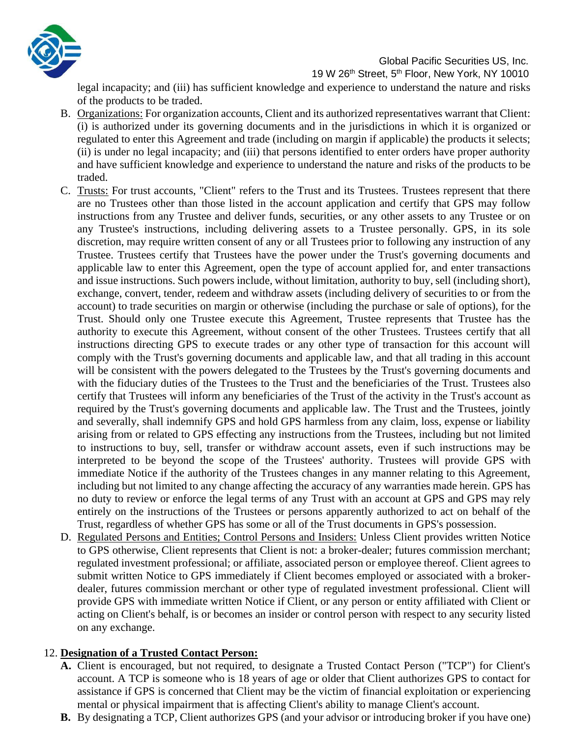

19 W 26<sup>th</sup> Street, 5<sup>th</sup> Floor, New York, NY 10010

legal incapacity; and (iii) has sufficient knowledge and experience to understand the nature and risks of the products to be traded.

- B. Organizations: For organization accounts, Client and its authorized representatives warrant that Client: (i) is authorized under its governing documents and in the jurisdictions in which it is organized or regulated to enter this Agreement and trade (including on margin if applicable) the products it selects; (ii) is under no legal incapacity; and (iii) that persons identified to enter orders have proper authority and have sufficient knowledge and experience to understand the nature and risks of the products to be traded.
- C. Trusts: For trust accounts, "Client" refers to the Trust and its Trustees. Trustees represent that there are no Trustees other than those listed in the account application and certify that GPS may follow instructions from any Trustee and deliver funds, securities, or any other assets to any Trustee or on any Trustee's instructions, including delivering assets to a Trustee personally. GPS, in its sole discretion, may require written consent of any or all Trustees prior to following any instruction of any Trustee. Trustees certify that Trustees have the power under the Trust's governing documents and applicable law to enter this Agreement, open the type of account applied for, and enter transactions and issue instructions. Such powers include, without limitation, authority to buy, sell (including short), exchange, convert, tender, redeem and withdraw assets (including delivery of securities to or from the account) to trade securities on margin or otherwise (including the purchase or sale of options), for the Trust. Should only one Trustee execute this Agreement, Trustee represents that Trustee has the authority to execute this Agreement, without consent of the other Trustees. Trustees certify that all instructions directing GPS to execute trades or any other type of transaction for this account will comply with the Trust's governing documents and applicable law, and that all trading in this account will be consistent with the powers delegated to the Trustees by the Trust's governing documents and with the fiduciary duties of the Trustees to the Trust and the beneficiaries of the Trust. Trustees also certify that Trustees will inform any beneficiaries of the Trust of the activity in the Trust's account as required by the Trust's governing documents and applicable law. The Trust and the Trustees, jointly and severally, shall indemnify GPS and hold GPS harmless from any claim, loss, expense or liability arising from or related to GPS effecting any instructions from the Trustees, including but not limited to instructions to buy, sell, transfer or withdraw account assets, even if such instructions may be interpreted to be beyond the scope of the Trustees' authority. Trustees will provide GPS with immediate Notice if the authority of the Trustees changes in any manner relating to this Agreement, including but not limited to any change affecting the accuracy of any warranties made herein. GPS has no duty to review or enforce the legal terms of any Trust with an account at GPS and GPS may rely entirely on the instructions of the Trustees or persons apparently authorized to act on behalf of the Trust, regardless of whether GPS has some or all of the Trust documents in GPS's possession.
- D. Regulated Persons and Entities; Control Persons and Insiders: Unless Client provides written Notice to GPS otherwise, Client represents that Client is not: a broker-dealer; futures commission merchant; regulated investment professional; or affiliate, associated person or employee thereof. Client agrees to submit written Notice to GPS immediately if Client becomes employed or associated with a brokerdealer, futures commission merchant or other type of regulated investment professional. Client will provide GPS with immediate written Notice if Client, or any person or entity affiliated with Client or acting on Client's behalf, is or becomes an insider or control person with respect to any security listed on any exchange.

### 12. **Designation of a Trusted Contact Person:**

- **A.** Client is encouraged, but not required, to designate a Trusted Contact Person ("TCP") for Client's account. A TCP is someone who is 18 years of age or older that Client authorizes GPS to contact for assistance if GPS is concerned that Client may be the victim of financial exploitation or experiencing mental or physical impairment that is affecting Client's ability to manage Client's account.
- **B.** By designating a TCP, Client authorizes GPS (and your advisor or introducing broker if you have one)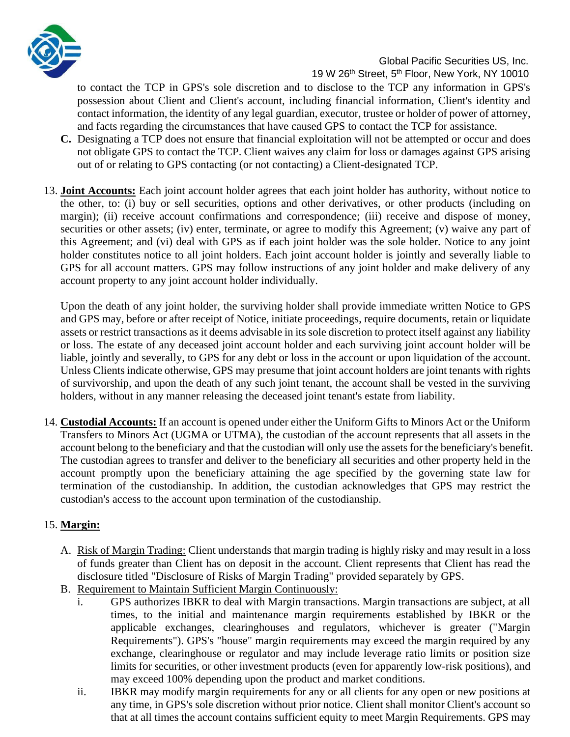

to contact the TCP in GPS's sole discretion and to disclose to the TCP any information in GPS's possession about Client and Client's account, including financial information, Client's identity and contact information, the identity of any legal guardian, executor, trustee or holder of power of attorney, and facts regarding the circumstances that have caused GPS to contact the TCP for assistance.

- **C.** Designating a TCP does not ensure that financial exploitation will not be attempted or occur and does not obligate GPS to contact the TCP. Client waives any claim for loss or damages against GPS arising out of or relating to GPS contacting (or not contacting) a Client-designated TCP.
- 13. **Joint Accounts:** Each joint account holder agrees that each joint holder has authority, without notice to the other, to: (i) buy or sell securities, options and other derivatives, or other products (including on margin); (ii) receive account confirmations and correspondence; (iii) receive and dispose of money, securities or other assets; (iv) enter, terminate, or agree to modify this Agreement; (v) waive any part of this Agreement; and (vi) deal with GPS as if each joint holder was the sole holder. Notice to any joint holder constitutes notice to all joint holders. Each joint account holder is jointly and severally liable to GPS for all account matters. GPS may follow instructions of any joint holder and make delivery of any account property to any joint account holder individually.

Upon the death of any joint holder, the surviving holder shall provide immediate written Notice to GPS and GPS may, before or after receipt of Notice, initiate proceedings, require documents, retain or liquidate assets or restrict transactions as it deems advisable in its sole discretion to protect itself against any liability or loss. The estate of any deceased joint account holder and each surviving joint account holder will be liable, jointly and severally, to GPS for any debt or loss in the account or upon liquidation of the account. Unless Clients indicate otherwise, GPS may presume that joint account holders are joint tenants with rights of survivorship, and upon the death of any such joint tenant, the account shall be vested in the surviving holders, without in any manner releasing the deceased joint tenant's estate from liability.

14. **Custodial Accounts:** If an account is opened under either the Uniform Gifts to Minors Act or the Uniform Transfers to Minors Act (UGMA or UTMA), the custodian of the account represents that all assets in the account belong to the beneficiary and that the custodian will only use the assets for the beneficiary's benefit. The custodian agrees to transfer and deliver to the beneficiary all securities and other property held in the account promptly upon the beneficiary attaining the age specified by the governing state law for termination of the custodianship. In addition, the custodian acknowledges that GPS may restrict the custodian's access to the account upon termination of the custodianship.

# 15. **Margin:**

- A. Risk of Margin Trading: Client understands that margin trading is highly risky and may result in a loss of funds greater than Client has on deposit in the account. Client represents that Client has read the disclosure titled "Disclosure of Risks of Margin Trading" provided separately by GPS.
- B. Requirement to Maintain Sufficient Margin Continuously:
	- i. GPS authorizes IBKR to deal with Margin transactions. Margin transactions are subject, at all times, to the initial and maintenance margin requirements established by IBKR or the applicable exchanges, clearinghouses and regulators, whichever is greater ("Margin Requirements"). GPS's "house" margin requirements may exceed the margin required by any exchange, clearinghouse or regulator and may include leverage ratio limits or position size limits for securities, or other investment products (even for apparently low-risk positions), and may exceed 100% depending upon the product and market conditions.
	- ii. IBKR may modify margin requirements for any or all clients for any open or new positions at any time, in GPS's sole discretion without prior notice. Client shall monitor Client's account so that at all times the account contains sufficient equity to meet Margin Requirements. GPS may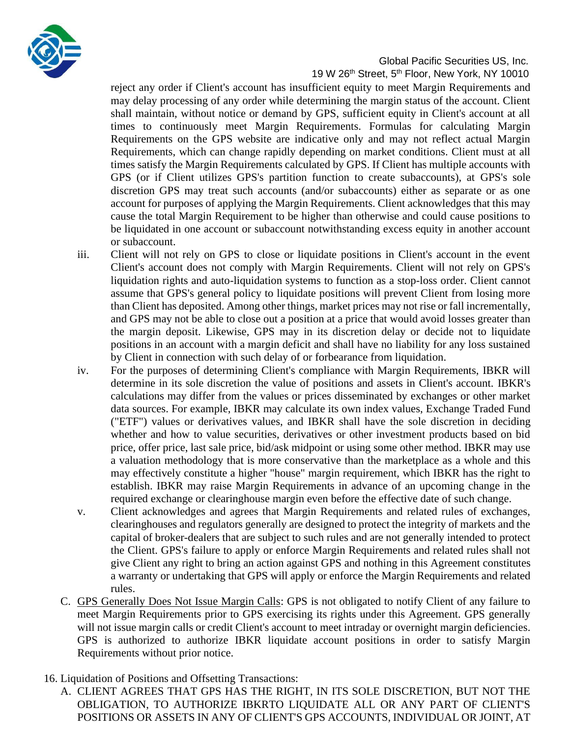

reject any order if Client's account has insufficient equity to meet Margin Requirements and may delay processing of any order while determining the margin status of the account. Client shall maintain, without notice or demand by GPS, sufficient equity in Client's account at all times to continuously meet Margin Requirements. Formulas for calculating Margin Requirements on the GPS website are indicative only and may not reflect actual Margin Requirements, which can change rapidly depending on market conditions. Client must at all times satisfy the Margin Requirements calculated by GPS. If Client has multiple accounts with GPS (or if Client utilizes GPS's partition function to create subaccounts), at GPS's sole discretion GPS may treat such accounts (and/or subaccounts) either as separate or as one account for purposes of applying the Margin Requirements. Client acknowledges that this may cause the total Margin Requirement to be higher than otherwise and could cause positions to be liquidated in one account or subaccount notwithstanding excess equity in another account or subaccount.

- iii. Client will not rely on GPS to close or liquidate positions in Client's account in the event Client's account does not comply with Margin Requirements. Client will not rely on GPS's liquidation rights and auto-liquidation systems to function as a stop-loss order. Client cannot assume that GPS's general policy to liquidate positions will prevent Client from losing more than Client has deposited. Among other things, market prices may not rise or fall incrementally, and GPS may not be able to close out a position at a price that would avoid losses greater than the margin deposit. Likewise, GPS may in its discretion delay or decide not to liquidate positions in an account with a margin deficit and shall have no liability for any loss sustained by Client in connection with such delay of or forbearance from liquidation.
- iv. For the purposes of determining Client's compliance with Margin Requirements, IBKR will determine in its sole discretion the value of positions and assets in Client's account. IBKR's calculations may differ from the values or prices disseminated by exchanges or other market data sources. For example, IBKR may calculate its own index values, Exchange Traded Fund ("ETF") values or derivatives values, and IBKR shall have the sole discretion in deciding whether and how to value securities, derivatives or other investment products based on bid price, offer price, last sale price, bid/ask midpoint or using some other method. IBKR may use a valuation methodology that is more conservative than the marketplace as a whole and this may effectively constitute a higher "house" margin requirement, which IBKR has the right to establish. IBKR may raise Margin Requirements in advance of an upcoming change in the required exchange or clearinghouse margin even before the effective date of such change.
- v. Client acknowledges and agrees that Margin Requirements and related rules of exchanges, clearinghouses and regulators generally are designed to protect the integrity of markets and the capital of broker-dealers that are subject to such rules and are not generally intended to protect the Client. GPS's failure to apply or enforce Margin Requirements and related rules shall not give Client any right to bring an action against GPS and nothing in this Agreement constitutes a warranty or undertaking that GPS will apply or enforce the Margin Requirements and related rules.
- C. GPS Generally Does Not Issue Margin Calls: GPS is not obligated to notify Client of any failure to meet Margin Requirements prior to GPS exercising its rights under this Agreement. GPS generally will not issue margin calls or credit Client's account to meet intraday or overnight margin deficiencies. GPS is authorized to authorize IBKR liquidate account positions in order to satisfy Margin Requirements without prior notice.
- 16. Liquidation of Positions and Offsetting Transactions:
	- A. CLIENT AGREES THAT GPS HAS THE RIGHT, IN ITS SOLE DISCRETION, BUT NOT THE OBLIGATION, TO AUTHORIZE IBKRTO LIQUIDATE ALL OR ANY PART OF CLIENT'S POSITIONS OR ASSETS IN ANY OF CLIENT'S GPS ACCOUNTS, INDIVIDUAL OR JOINT, AT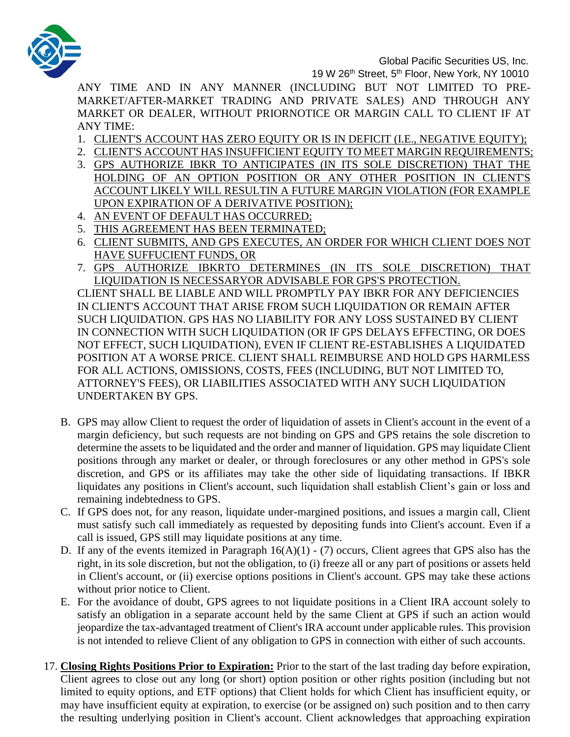

19 W 26<sup>th</sup> Street, 5<sup>th</sup> Floor, New York, NY 10010

ANY TIME AND IN ANY MANNER (INCLUDING BUT NOT LIMITED TO PRE-MARKET/AFTER-MARKET TRADING AND PRIVATE SALES) AND THROUGH ANY MARKET OR DEALER, WITHOUT PRIORNOTICE OR MARGIN CALL TO CLIENT IF AT ANY TIME:

- 1. CLIENT'S ACCOUNT HAS ZERO EQUITY OR IS IN DEFICIT (I.E., NEGATIVE EQUITY);
- 2. CLIENT'S ACCOUNT HAS INSUFFICIENT EQUITY TO MEET MARGIN REQUIREMENTS;
- 3. GPS AUTHORIZE IBKR TO ANTICIPATES (IN ITS SOLE DISCRETION) THAT THE HOLDING OF AN OPTION POSITION OR ANY OTHER POSITION IN CLIENT'S ACCOUNT LIKELY WILL RESULTIN A FUTURE MARGIN VIOLATION (FOR EXAMPLE UPON EXPIRATION OF A DERIVATIVE POSITION);
- 4. AN EVENT OF DEFAULT HAS OCCURRED;
- 5. THIS AGREEMENT HAS BEEN TERMINATED;
- 6. CLIENT SUBMITS, AND GPS EXECUTES, AN ORDER FOR WHICH CLIENT DOES NOT HAVE SUFFUCIENT FUNDS, OR
- 7. GPS AUTHORIZE IBKRTO DETERMINES (IN ITS SOLE DISCRETION) THAT LIQUIDATION IS NECESSARYOR ADVISABLE FOR GPS'S PROTECTION.

CLIENT SHALL BE LIABLE AND WILL PROMPTLY PAY IBKR FOR ANY DEFICIENCIES IN CLIENT'S ACCOUNT THAT ARISE FROM SUCH LIQUIDATION OR REMAIN AFTER SUCH LIQUIDATION. GPS HAS NO LIABILITY FOR ANY LOSS SUSTAINED BY CLIENT IN CONNECTION WITH SUCH LIQUIDATION (OR IF GPS DELAYS EFFECTING, OR DOES NOT EFFECT, SUCH LIQUIDATION), EVEN IF CLIENT RE-ESTABLISHES A LIQUIDATED POSITION AT A WORSE PRICE. CLIENT SHALL REIMBURSE AND HOLD GPS HARMLESS FOR ALL ACTIONS, OMISSIONS, COSTS, FEES (INCLUDING, BUT NOT LIMITED TO, ATTORNEY'S FEES), OR LIABILITIES ASSOCIATED WITH ANY SUCH LIQUIDATION UNDERTAKEN BY GPS.

- B. GPS may allow Client to request the order of liquidation of assets in Client's account in the event of a margin deficiency, but such requests are not binding on GPS and GPS retains the sole discretion to determine the assets to be liquidated and the order and manner of liquidation. GPS may liquidate Client positions through any market or dealer, or through foreclosures or any other method in GPS's sole discretion, and GPS or its affiliates may take the other side of liquidating transactions. If IBKR liquidates any positions in Client's account, such liquidation shall establish Client's gain or loss and remaining indebtedness to GPS.
- C. If GPS does not, for any reason, liquidate under-margined positions, and issues a margin call, Client must satisfy such call immediately as requested by depositing funds into Client's account. Even if a call is issued, GPS still may liquidate positions at any time.
- D. If any of the events itemized in Paragraph  $16(A)(1) (7)$  occurs, Client agrees that GPS also has the right, in its sole discretion, but not the obligation, to (i) freeze all or any part of positions or assets held in Client's account, or (ii) exercise options positions in Client's account. GPS may take these actions without prior notice to Client.
- E. For the avoidance of doubt, GPS agrees to not liquidate positions in a Client IRA account solely to satisfy an obligation in a separate account held by the same Client at GPS if such an action would jeopardize the tax-advantaged treatment of Client's IRA account under applicable rules. This provision is not intended to relieve Client of any obligation to GPS in connection with either of such accounts.
- 17. **Closing Rights Positions Prior to Expiration:** Prior to the start of the last trading day before expiration, Client agrees to close out any long (or short) option position or other rights position (including but not limited to equity options, and ETF options) that Client holds for which Client has insufficient equity, or may have insufficient equity at expiration, to exercise (or be assigned on) such position and to then carry the resulting underlying position in Client's account. Client acknowledges that approaching expiration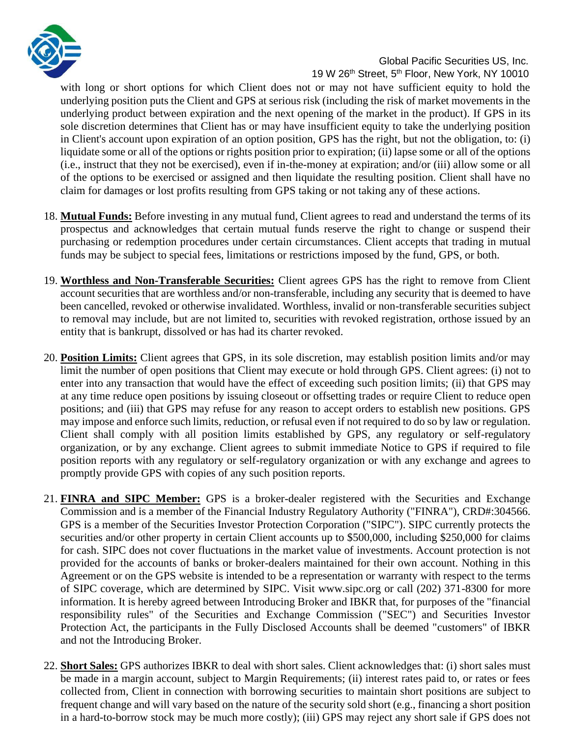

with long or short options for which Client does not or may not have sufficient equity to hold the underlying position puts the Client and GPS at serious risk (including the risk of market movements in the underlying product between expiration and the next opening of the market in the product). If GPS in its sole discretion determines that Client has or may have insufficient equity to take the underlying position in Client's account upon expiration of an option position, GPS has the right, but not the obligation, to: (i) liquidate some or all of the options or rights position prior to expiration; (ii) lapse some or all of the options (i.e., instruct that they not be exercised), even if in-the-money at expiration; and/or (iii) allow some or all of the options to be exercised or assigned and then liquidate the resulting position. Client shall have no claim for damages or lost profits resulting from GPS taking or not taking any of these actions.

- 18. **Mutual Funds:** Before investing in any mutual fund, Client agrees to read and understand the terms of its prospectus and acknowledges that certain mutual funds reserve the right to change or suspend their purchasing or redemption procedures under certain circumstances. Client accepts that trading in mutual funds may be subject to special fees, limitations or restrictions imposed by the fund, GPS, or both.
- 19. **Worthless and Non-Transferable Securities:** Client agrees GPS has the right to remove from Client account securities that are worthless and/or non-transferable, including any security that is deemed to have been cancelled, revoked or otherwise invalidated. Worthless, invalid or non-transferable securities subject to removal may include, but are not limited to, securities with revoked registration, orthose issued by an entity that is bankrupt, dissolved or has had its charter revoked.
- 20. **Position Limits:** Client agrees that GPS, in its sole discretion, may establish position limits and/or may limit the number of open positions that Client may execute or hold through GPS. Client agrees: (i) not to enter into any transaction that would have the effect of exceeding such position limits; (ii) that GPS may at any time reduce open positions by issuing closeout or offsetting trades or require Client to reduce open positions; and (iii) that GPS may refuse for any reason to accept orders to establish new positions. GPS may impose and enforce such limits, reduction, or refusal even if not required to do so by law or regulation. Client shall comply with all position limits established by GPS, any regulatory or self-regulatory organization, or by any exchange. Client agrees to submit immediate Notice to GPS if required to file position reports with any regulatory or self-regulatory organization or with any exchange and agrees to promptly provide GPS with copies of any such position reports.
- 21. **FINRA and SIPC Member:** GPS is a broker-dealer registered with the Securities and Exchange Commission and is a member of the Financial Industry Regulatory Authority ("FINRA"), CRD#:304566. GPS is a member of the Securities Investor Protection Corporation ("SIPC"). SIPC currently protects the securities and/or other property in certain Client accounts up to \$500,000, including \$250,000 for claims for cash. SIPC does not cover fluctuations in the market value of investments. Account protection is not provided for the accounts of banks or broker-dealers maintained for their own account. Nothing in this Agreement or on the GPS website is intended to be a representation or warranty with respect to the terms of SIPC coverage, which are determined by SIPC. Visit www.sipc.org or call (202) 371-8300 for more information. It is hereby agreed between Introducing Broker and IBKR that, for purposes of the "financial responsibility rules" of the Securities and Exchange Commission ("SEC") and Securities Investor Protection Act, the participants in the Fully Disclosed Accounts shall be deemed "customers" of IBKR and not the Introducing Broker.
- 22. **Short Sales:** GPS authorizes IBKR to deal with short sales. Client acknowledges that: (i) short sales must be made in a margin account, subject to Margin Requirements; (ii) interest rates paid to, or rates or fees collected from, Client in connection with borrowing securities to maintain short positions are subject to frequent change and will vary based on the nature of the security sold short (e.g., financing a short position in a hard-to-borrow stock may be much more costly); (iii) GPS may reject any short sale if GPS does not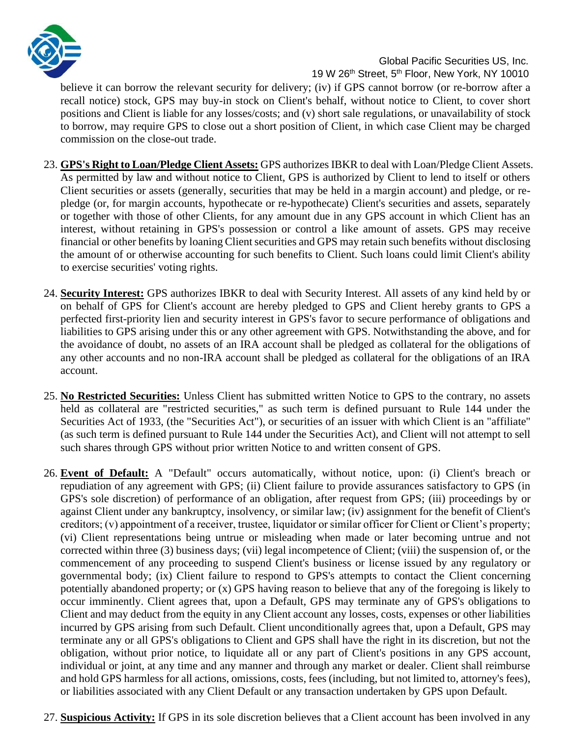

believe it can borrow the relevant security for delivery; (iv) if GPS cannot borrow (or re-borrow after a recall notice) stock, GPS may buy-in stock on Client's behalf, without notice to Client, to cover short positions and Client is liable for any losses/costs; and (v) short sale regulations, or unavailability of stock to borrow, may require GPS to close out a short position of Client, in which case Client may be charged commission on the close-out trade.

- 23. **GPS's Right to Loan/Pledge Client Assets:** GPS authorizes IBKR to deal with Loan/Pledge Client Assets. As permitted by law and without notice to Client, GPS is authorized by Client to lend to itself or others Client securities or assets (generally, securities that may be held in a margin account) and pledge, or repledge (or, for margin accounts, hypothecate or re-hypothecate) Client's securities and assets, separately or together with those of other Clients, for any amount due in any GPS account in which Client has an interest, without retaining in GPS's possession or control a like amount of assets. GPS may receive financial or other benefits by loaning Client securities and GPS may retain such benefits without disclosing the amount of or otherwise accounting for such benefits to Client. Such loans could limit Client's ability to exercise securities' voting rights.
- 24. **Security Interest:** GPS authorizes IBKR to deal with Security Interest. All assets of any kind held by or on behalf of GPS for Client's account are hereby pledged to GPS and Client hereby grants to GPS a perfected first-priority lien and security interest in GPS's favor to secure performance of obligations and liabilities to GPS arising under this or any other agreement with GPS. Notwithstanding the above, and for the avoidance of doubt, no assets of an IRA account shall be pledged as collateral for the obligations of any other accounts and no non-IRA account shall be pledged as collateral for the obligations of an IRA account.
- 25. **No Restricted Securities:** Unless Client has submitted written Notice to GPS to the contrary, no assets held as collateral are "restricted securities," as such term is defined pursuant to Rule 144 under the Securities Act of 1933, (the "Securities Act"), or securities of an issuer with which Client is an "affiliate" (as such term is defined pursuant to Rule 144 under the Securities Act), and Client will not attempt to sell such shares through GPS without prior written Notice to and written consent of GPS.
- 26. **Event of Default:** A "Default" occurs automatically, without notice, upon: (i) Client's breach or repudiation of any agreement with GPS; (ii) Client failure to provide assurances satisfactory to GPS (in GPS's sole discretion) of performance of an obligation, after request from GPS; (iii) proceedings by or against Client under any bankruptcy, insolvency, or similar law; (iv) assignment for the benefit of Client's creditors; (v) appointment of a receiver, trustee, liquidator or similar officer for Client or Client's property; (vi) Client representations being untrue or misleading when made or later becoming untrue and not corrected within three (3) business days; (vii) legal incompetence of Client; (viii) the suspension of, or the commencement of any proceeding to suspend Client's business or license issued by any regulatory or governmental body; (ix) Client failure to respond to GPS's attempts to contact the Client concerning potentially abandoned property; or (x) GPS having reason to believe that any of the foregoing is likely to occur imminently. Client agrees that, upon a Default, GPS may terminate any of GPS's obligations to Client and may deduct from the equity in any Client account any losses, costs, expenses or other liabilities incurred by GPS arising from such Default. Client unconditionally agrees that, upon a Default, GPS may terminate any or all GPS's obligations to Client and GPS shall have the right in its discretion, but not the obligation, without prior notice, to liquidate all or any part of Client's positions in any GPS account, individual or joint, at any time and any manner and through any market or dealer. Client shall reimburse and hold GPS harmless for all actions, omissions, costs, fees (including, but not limited to, attorney's fees), or liabilities associated with any Client Default or any transaction undertaken by GPS upon Default.
- 27. **Suspicious Activity:** If GPS in its sole discretion believes that a Client account has been involved in any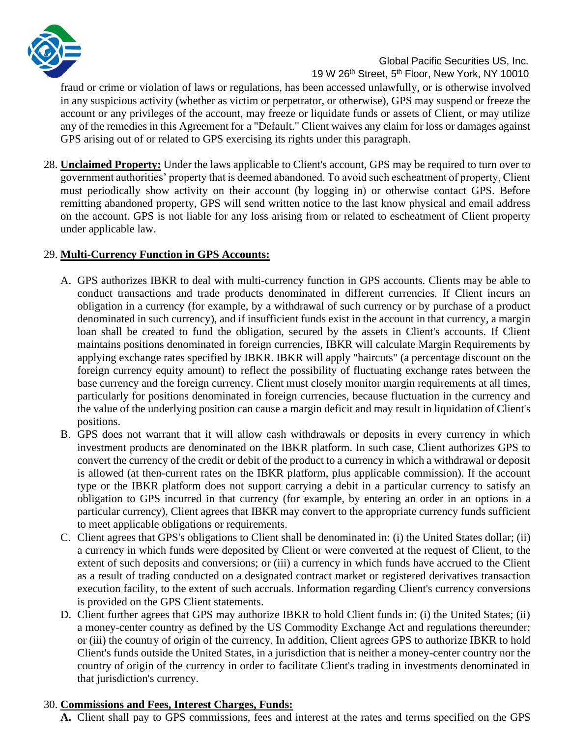

fraud or crime or violation of laws or regulations, has been accessed unlawfully, or is otherwise involved in any suspicious activity (whether as victim or perpetrator, or otherwise), GPS may suspend or freeze the account or any privileges of the account, may freeze or liquidate funds or assets of Client, or may utilize any of the remedies in this Agreement for a "Default." Client waives any claim for loss or damages against GPS arising out of or related to GPS exercising its rights under this paragraph.

28. **Unclaimed Property:** Under the laws applicable to Client's account, GPS may be required to turn over to government authorities' property that is deemed abandoned. To avoid such escheatment of property, Client must periodically show activity on their account (by logging in) or otherwise contact GPS. Before remitting abandoned property, GPS will send written notice to the last know physical and email address on the account. GPS is not liable for any loss arising from or related to escheatment of Client property under applicable law.

### 29. **Multi-Currency Function in GPS Accounts:**

- A. GPS authorizes IBKR to deal with multi-currency function in GPS accounts. Clients may be able to conduct transactions and trade products denominated in different currencies. If Client incurs an obligation in a currency (for example, by a withdrawal of such currency or by purchase of a product denominated in such currency), and if insufficient funds exist in the account in that currency, a margin loan shall be created to fund the obligation, secured by the assets in Client's accounts. If Client maintains positions denominated in foreign currencies, IBKR will calculate Margin Requirements by applying exchange rates specified by IBKR. IBKR will apply "haircuts" (a percentage discount on the foreign currency equity amount) to reflect the possibility of fluctuating exchange rates between the base currency and the foreign currency. Client must closely monitor margin requirements at all times, particularly for positions denominated in foreign currencies, because fluctuation in the currency and the value of the underlying position can cause a margin deficit and may result in liquidation of Client's positions.
- B. GPS does not warrant that it will allow cash withdrawals or deposits in every currency in which investment products are denominated on the IBKR platform. In such case, Client authorizes GPS to convert the currency of the credit or debit of the product to a currency in which a withdrawal or deposit is allowed (at then-current rates on the IBKR platform, plus applicable commission). If the account type or the IBKR platform does not support carrying a debit in a particular currency to satisfy an obligation to GPS incurred in that currency (for example, by entering an order in an options in a particular currency), Client agrees that IBKR may convert to the appropriate currency funds sufficient to meet applicable obligations or requirements.
- C. Client agrees that GPS's obligations to Client shall be denominated in: (i) the United States dollar; (ii) a currency in which funds were deposited by Client or were converted at the request of Client, to the extent of such deposits and conversions; or (iii) a currency in which funds have accrued to the Client as a result of trading conducted on a designated contract market or registered derivatives transaction execution facility, to the extent of such accruals. Information regarding Client's currency conversions is provided on the GPS Client statements.
- D. Client further agrees that GPS may authorize IBKR to hold Client funds in: (i) the United States; (ii) a money-center country as defined by the US Commodity Exchange Act and regulations thereunder; or (iii) the country of origin of the currency. In addition, Client agrees GPS to authorize IBKR to hold Client's funds outside the United States, in a jurisdiction that is neither a money-center country nor the country of origin of the currency in order to facilitate Client's trading in investments denominated in that jurisdiction's currency.

### 30. **Commissions and Fees, Interest Charges, Funds:**

**A.** Client shall pay to GPS commissions, fees and interest at the rates and terms specified on the GPS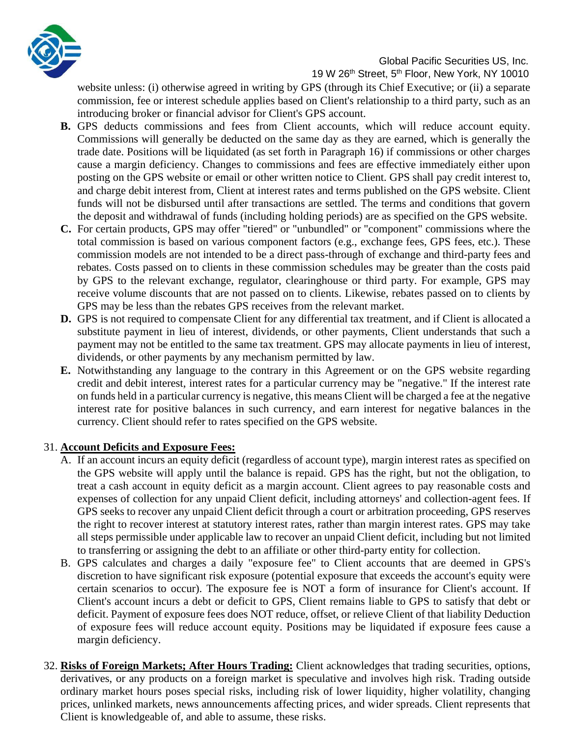

#### 19 W 26<sup>th</sup> Street, 5<sup>th</sup> Floor, New York, NY 10010

website unless: (i) otherwise agreed in writing by GPS (through its Chief Executive; or (ii) a separate commission, fee or interest schedule applies based on Client's relationship to a third party, such as an introducing broker or financial advisor for Client's GPS account.

- **B.** GPS deducts commissions and fees from Client accounts, which will reduce account equity. Commissions will generally be deducted on the same day as they are earned, which is generally the trade date. Positions will be liquidated (as set forth in Paragraph 16) if commissions or other charges cause a margin deficiency. Changes to commissions and fees are effective immediately either upon posting on the GPS website or email or other written notice to Client. GPS shall pay credit interest to, and charge debit interest from, Client at interest rates and terms published on the GPS website. Client funds will not be disbursed until after transactions are settled. The terms and conditions that govern the deposit and withdrawal of funds (including holding periods) are as specified on the GPS website.
- **C.** For certain products, GPS may offer "tiered" or "unbundled" or "component" commissions where the total commission is based on various component factors (e.g., exchange fees, GPS fees, etc.). These commission models are not intended to be a direct pass-through of exchange and third-party fees and rebates. Costs passed on to clients in these commission schedules may be greater than the costs paid by GPS to the relevant exchange, regulator, clearinghouse or third party. For example, GPS may receive volume discounts that are not passed on to clients. Likewise, rebates passed on to clients by GPS may be less than the rebates GPS receives from the relevant market.
- **D.** GPS is not required to compensate Client for any differential tax treatment, and if Client is allocated a substitute payment in lieu of interest, dividends, or other payments, Client understands that such a payment may not be entitled to the same tax treatment. GPS may allocate payments in lieu of interest, dividends, or other payments by any mechanism permitted by law.
- **E.** Notwithstanding any language to the contrary in this Agreement or on the GPS website regarding credit and debit interest, interest rates for a particular currency may be "negative." If the interest rate on funds held in a particular currency is negative, this means Client will be charged a fee at the negative interest rate for positive balances in such currency, and earn interest for negative balances in the currency. Client should refer to rates specified on the GPS website.

### 31. **Account Deficits and Exposure Fees:**

- A. If an account incurs an equity deficit (regardless of account type), margin interest rates as specified on the GPS website will apply until the balance is repaid. GPS has the right, but not the obligation, to treat a cash account in equity deficit as a margin account. Client agrees to pay reasonable costs and expenses of collection for any unpaid Client deficit, including attorneys' and collection-agent fees. If GPS seeks to recover any unpaid Client deficit through a court or arbitration proceeding, GPS reserves the right to recover interest at statutory interest rates, rather than margin interest rates. GPS may take all steps permissible under applicable law to recover an unpaid Client deficit, including but not limited to transferring or assigning the debt to an affiliate or other third-party entity for collection.
- B. GPS calculates and charges a daily "exposure fee" to Client accounts that are deemed in GPS's discretion to have significant risk exposure (potential exposure that exceeds the account's equity were certain scenarios to occur). The exposure fee is NOT a form of insurance for Client's account. If Client's account incurs a debt or deficit to GPS, Client remains liable to GPS to satisfy that debt or deficit. Payment of exposure fees does NOT reduce, offset, or relieve Client of that liability Deduction of exposure fees will reduce account equity. Positions may be liquidated if exposure fees cause a margin deficiency.
- 32. **Risks of Foreign Markets; After Hours Trading:** Client acknowledges that trading securities, options, derivatives, or any products on a foreign market is speculative and involves high risk. Trading outside ordinary market hours poses special risks, including risk of lower liquidity, higher volatility, changing prices, unlinked markets, news announcements affecting prices, and wider spreads. Client represents that Client is knowledgeable of, and able to assume, these risks.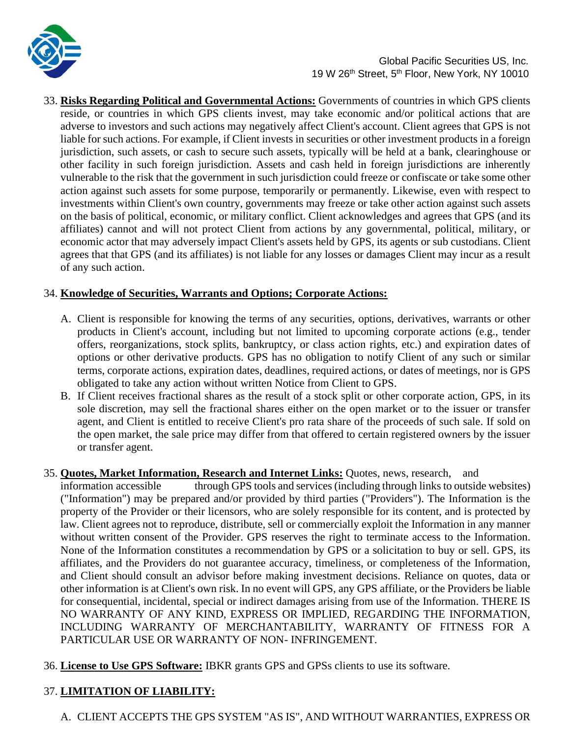

33. **Risks Regarding Political and Governmental Actions:** Governments of countries in which GPS clients reside, or countries in which GPS clients invest, may take economic and/or political actions that are adverse to investors and such actions may negatively affect Client's account. Client agrees that GPS is not liable for such actions. For example, if Client invests in securities or other investment products in a foreign jurisdiction, such assets, or cash to secure such assets, typically will be held at a bank, clearinghouse or other facility in such foreign jurisdiction. Assets and cash held in foreign jurisdictions are inherently vulnerable to the risk that the government in such jurisdiction could freeze or confiscate or take some other action against such assets for some purpose, temporarily or permanently. Likewise, even with respect to investments within Client's own country, governments may freeze or take other action against such assets on the basis of political, economic, or military conflict. Client acknowledges and agrees that GPS (and its affiliates) cannot and will not protect Client from actions by any governmental, political, military, or economic actor that may adversely impact Client's assets held by GPS, its agents or sub custodians. Client agrees that that GPS (and its affiliates) is not liable for any losses or damages Client may incur as a result of any such action.

# 34. **Knowledge of Securities, Warrants and Options; Corporate Actions:**

- A. Client is responsible for knowing the terms of any securities, options, derivatives, warrants or other products in Client's account, including but not limited to upcoming corporate actions (e.g., tender offers, reorganizations, stock splits, bankruptcy, or class action rights, etc.) and expiration dates of options or other derivative products. GPS has no obligation to notify Client of any such or similar terms, corporate actions, expiration dates, deadlines, required actions, or dates of meetings, nor is GPS obligated to take any action without written Notice from Client to GPS.
- B. If Client receives fractional shares as the result of a stock split or other corporate action, GPS, in its sole discretion, may sell the fractional shares either on the open market or to the issuer or transfer agent, and Client is entitled to receive Client's pro rata share of the proceeds of such sale. If sold on the open market, the sale price may differ from that offered to certain registered owners by the issuer or transfer agent.

### 35. **Quotes, Market Information, Research and Internet Links:** Quotes, news, research, and

information accessible through GPS tools and services (including through links to outside websites) ("Information") may be prepared and/or provided by third parties ("Providers"). The Information is the property of the Provider or their licensors, who are solely responsible for its content, and is protected by law. Client agrees not to reproduce, distribute, sell or commercially exploit the Information in any manner without written consent of the Provider. GPS reserves the right to terminate access to the Information. None of the Information constitutes a recommendation by GPS or a solicitation to buy or sell. GPS, its affiliates, and the Providers do not guarantee accuracy, timeliness, or completeness of the Information, and Client should consult an advisor before making investment decisions. Reliance on quotes, data or other information is at Client's own risk. In no event will GPS, any GPS affiliate, or the Providers be liable for consequential, incidental, special or indirect damages arising from use of the Information. THERE IS NO WARRANTY OF ANY KIND, EXPRESS OR IMPLIED, REGARDING THE INFORMATION, INCLUDING WARRANTY OF MERCHANTABILITY, WARRANTY OF FITNESS FOR A PARTICULAR USE OR WARRANTY OF NON- INFRINGEMENT.

36. **License to Use GPS Software:** IBKR grants GPS and GPSs clients to use its software.

# 37. **LIMITATION OF LIABILITY:**

A. CLIENT ACCEPTS THE GPS SYSTEM "AS IS", AND WITHOUT WARRANTIES, EXPRESS OR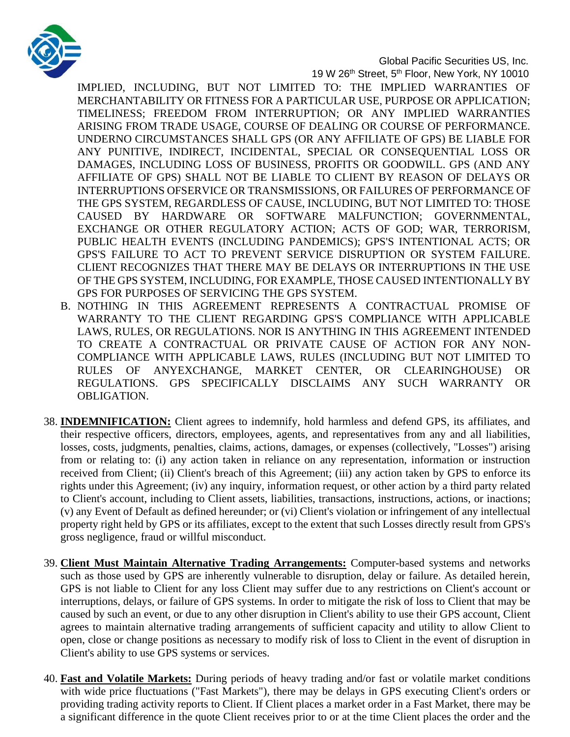

19 W 26<sup>th</sup> Street, 5<sup>th</sup> Floor, New York, NY 10010

IMPLIED, INCLUDING, BUT NOT LIMITED TO: THE IMPLIED WARRANTIES OF MERCHANTABILITY OR FITNESS FOR A PARTICULAR USE, PURPOSE OR APPLICATION; TIMELINESS; FREEDOM FROM INTERRUPTION; OR ANY IMPLIED WARRANTIES ARISING FROM TRADE USAGE, COURSE OF DEALING OR COURSE OF PERFORMANCE. UNDERNO CIRCUMSTANCES SHALL GPS (OR ANY AFFILIATE OF GPS) BE LIABLE FOR ANY PUNITIVE, INDIRECT, INCIDENTAL, SPECIAL OR CONSEQUENTIAL LOSS OR DAMAGES, INCLUDING LOSS OF BUSINESS, PROFITS OR GOODWILL. GPS (AND ANY AFFILIATE OF GPS) SHALL NOT BE LIABLE TO CLIENT BY REASON OF DELAYS OR INTERRUPTIONS OFSERVICE OR TRANSMISSIONS, OR FAILURES OF PERFORMANCE OF THE GPS SYSTEM, REGARDLESS OF CAUSE, INCLUDING, BUT NOT LIMITED TO: THOSE CAUSED BY HARDWARE OR SOFTWARE MALFUNCTION; GOVERNMENTAL, EXCHANGE OR OTHER REGULATORY ACTION; ACTS OF GOD; WAR, TERRORISM, PUBLIC HEALTH EVENTS (INCLUDING PANDEMICS); GPS'S INTENTIONAL ACTS; OR GPS'S FAILURE TO ACT TO PREVENT SERVICE DISRUPTION OR SYSTEM FAILURE. CLIENT RECOGNIZES THAT THERE MAY BE DELAYS OR INTERRUPTIONS IN THE USE OF THE GPS SYSTEM, INCLUDING, FOR EXAMPLE, THOSE CAUSED INTENTIONALLY BY GPS FOR PURPOSES OF SERVICING THE GPS SYSTEM.

- B. NOTHING IN THIS AGREEMENT REPRESENTS A CONTRACTUAL PROMISE OF WARRANTY TO THE CLIENT REGARDING GPS'S COMPLIANCE WITH APPLICABLE LAWS, RULES, OR REGULATIONS. NOR IS ANYTHING IN THIS AGREEMENT INTENDED TO CREATE A CONTRACTUAL OR PRIVATE CAUSE OF ACTION FOR ANY NON-COMPLIANCE WITH APPLICABLE LAWS, RULES (INCLUDING BUT NOT LIMITED TO RULES OF ANYEXCHANGE, MARKET CENTER, OR CLEARINGHOUSE) OR REGULATIONS. GPS SPECIFICALLY DISCLAIMS ANY SUCH WARRANTY OR OBLIGATION.
- 38. **INDEMNIFICATION:** Client agrees to indemnify, hold harmless and defend GPS, its affiliates, and their respective officers, directors, employees, agents, and representatives from any and all liabilities, losses, costs, judgments, penalties, claims, actions, damages, or expenses (collectively, "Losses") arising from or relating to: (i) any action taken in reliance on any representation, information or instruction received from Client; (ii) Client's breach of this Agreement; (iii) any action taken by GPS to enforce its rights under this Agreement; (iv) any inquiry, information request, or other action by a third party related to Client's account, including to Client assets, liabilities, transactions, instructions, actions, or inactions; (v) any Event of Default as defined hereunder; or (vi) Client's violation or infringement of any intellectual property right held by GPS or its affiliates, except to the extent that such Losses directly result from GPS's gross negligence, fraud or willful misconduct.
- 39. **Client Must Maintain Alternative Trading Arrangements:** Computer-based systems and networks such as those used by GPS are inherently vulnerable to disruption, delay or failure. As detailed herein, GPS is not liable to Client for any loss Client may suffer due to any restrictions on Client's account or interruptions, delays, or failure of GPS systems. In order to mitigate the risk of loss to Client that may be caused by such an event, or due to any other disruption in Client's ability to use their GPS account, Client agrees to maintain alternative trading arrangements of sufficient capacity and utility to allow Client to open, close or change positions as necessary to modify risk of loss to Client in the event of disruption in Client's ability to use GPS systems or services.
- 40. **Fast and Volatile Markets:** During periods of heavy trading and/or fast or volatile market conditions with wide price fluctuations ("Fast Markets"), there may be delays in GPS executing Client's orders or providing trading activity reports to Client. If Client places a market order in a Fast Market, there may be a significant difference in the quote Client receives prior to or at the time Client places the order and the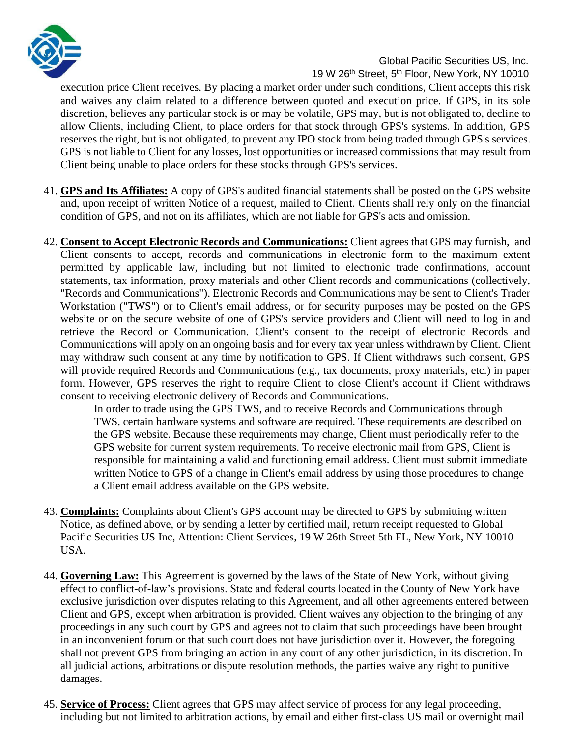

execution price Client receives. By placing a market order under such conditions, Client accepts this risk and waives any claim related to a difference between quoted and execution price. If GPS, in its sole discretion, believes any particular stock is or may be volatile, GPS may, but is not obligated to, decline to allow Clients, including Client, to place orders for that stock through GPS's systems. In addition, GPS reserves the right, but is not obligated, to prevent any IPO stock from being traded through GPS's services. GPS is not liable to Client for any losses, lost opportunities or increased commissions that may result from Client being unable to place orders for these stocks through GPS's services.

- 41. **GPS and Its Affiliates:** A copy of GPS's audited financial statements shall be posted on the GPS website and, upon receipt of written Notice of a request, mailed to Client. Clients shall rely only on the financial condition of GPS, and not on its affiliates, which are not liable for GPS's acts and omission.
- 42. **Consent to Accept Electronic Records and Communications:** Client agrees that GPS may furnish, and Client consents to accept, records and communications in electronic form to the maximum extent permitted by applicable law, including but not limited to electronic trade confirmations, account statements, tax information, proxy materials and other Client records and communications (collectively, "Records and Communications"). Electronic Records and Communications may be sent to Client's Trader Workstation ("TWS") or to Client's email address, or for security purposes may be posted on the GPS website or on the secure website of one of GPS's service providers and Client will need to log in and retrieve the Record or Communication. Client's consent to the receipt of electronic Records and Communications will apply on an ongoing basis and for every tax year unless withdrawn by Client. Client may withdraw such consent at any time by notification to GPS. If Client withdraws such consent, GPS will provide required Records and Communications (e.g., tax documents, proxy materials, etc.) in paper form. However, GPS reserves the right to require Client to close Client's account if Client withdraws consent to receiving electronic delivery of Records and Communications.

In order to trade using the GPS TWS, and to receive Records and Communications through TWS, certain hardware systems and software are required. These requirements are described on the GPS website. Because these requirements may change, Client must periodically refer to the GPS website for current system requirements. To receive electronic mail from GPS, Client is responsible for maintaining a valid and functioning email address. Client must submit immediate written Notice to GPS of a change in Client's email address by using those procedures to change a Client email address available on the GPS website.

- 43. **Complaints:** Complaints about Client's GPS account may be directed to GPS by submitting written Notice, as defined above, or by sending a letter by certified mail, return receipt requested to Global Pacific Securities US Inc, Attention: Client Services, 19 W 26th Street 5th FL, New York, NY 10010 USA.
- 44. **Governing Law:** This Agreement is governed by the laws of the State of New York, without giving effect to conflict-of-law's provisions. State and federal courts located in the County of New York have exclusive jurisdiction over disputes relating to this Agreement, and all other agreements entered between Client and GPS, except when arbitration is provided. Client waives any objection to the bringing of any proceedings in any such court by GPS and agrees not to claim that such proceedings have been brought in an inconvenient forum or that such court does not have jurisdiction over it. However, the foregoing shall not prevent GPS from bringing an action in any court of any other jurisdiction, in its discretion. In all judicial actions, arbitrations or dispute resolution methods, the parties waive any right to punitive damages.
- 45. **Service of Process:** Client agrees that GPS may affect service of process for any legal proceeding, including but not limited to arbitration actions, by email and either first-class US mail or overnight mail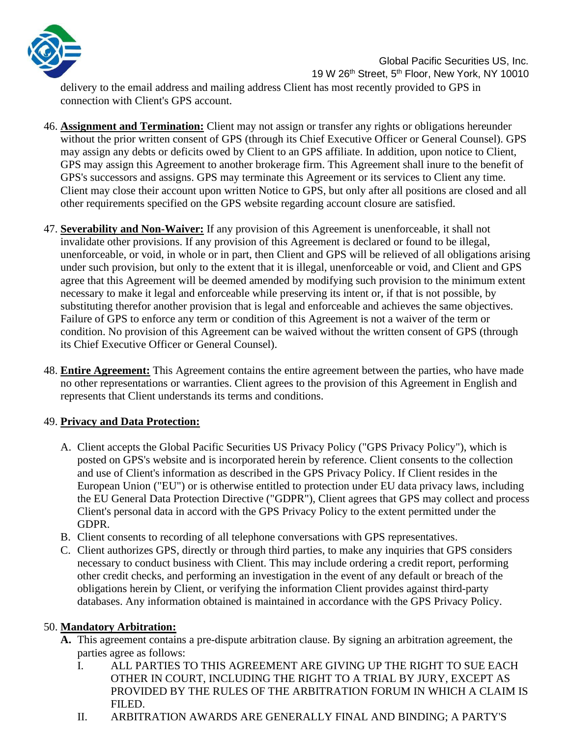

delivery to the email address and mailing address Client has most recently provided to GPS in connection with Client's GPS account.

- 46. **Assignment and Termination:** Client may not assign or transfer any rights or obligations hereunder without the prior written consent of GPS (through its Chief Executive Officer or General Counsel). GPS may assign any debts or deficits owed by Client to an GPS affiliate. In addition, upon notice to Client, GPS may assign this Agreement to another brokerage firm. This Agreement shall inure to the benefit of GPS's successors and assigns. GPS may terminate this Agreement or its services to Client any time. Client may close their account upon written Notice to GPS, but only after all positions are closed and all other requirements specified on the GPS website regarding account closure are satisfied.
- 47. **Severability and Non-Waiver:** If any provision of this Agreement is unenforceable, it shall not invalidate other provisions. If any provision of this Agreement is declared or found to be illegal, unenforceable, or void, in whole or in part, then Client and GPS will be relieved of all obligations arising under such provision, but only to the extent that it is illegal, unenforceable or void, and Client and GPS agree that this Agreement will be deemed amended by modifying such provision to the minimum extent necessary to make it legal and enforceable while preserving its intent or, if that is not possible, by substituting therefor another provision that is legal and enforceable and achieves the same objectives. Failure of GPS to enforce any term or condition of this Agreement is not a waiver of the term or condition. No provision of this Agreement can be waived without the written consent of GPS (through its Chief Executive Officer or General Counsel).
- 48. **Entire Agreement:** This Agreement contains the entire agreement between the parties, who have made no other representations or warranties. Client agrees to the provision of this Agreement in English and represents that Client understands its terms and conditions.

### 49. **Privacy and Data Protection:**

- A. Client accepts the Global Pacific Securities US Privacy Policy ("GPS Privacy Policy"), which is posted on GPS's website and is incorporated herein by reference. Client consents to the collection and use of Client's information as described in the GPS Privacy Policy. If Client resides in the European Union ("EU") or is otherwise entitled to protection under EU data privacy laws, including the EU General Data Protection Directive ("GDPR"), Client agrees that GPS may collect and process Client's personal data in accord with the GPS Privacy Policy to the extent permitted under the GDPR.
- B. Client consents to recording of all telephone conversations with GPS representatives.
- C. Client authorizes GPS, directly or through third parties, to make any inquiries that GPS considers necessary to conduct business with Client. This may include ordering a credit report, performing other credit checks, and performing an investigation in the event of any default or breach of the obligations herein by Client, or verifying the information Client provides against third-party databases. Any information obtained is maintained in accordance with the GPS Privacy Policy.

### 50. **Mandatory Arbitration:**

- **A.** This agreement contains a pre-dispute arbitration clause. By signing an arbitration agreement, the parties agree as follows:
	- I. ALL PARTIES TO THIS AGREEMENT ARE GIVING UP THE RIGHT TO SUE EACH OTHER IN COURT, INCLUDING THE RIGHT TO A TRIAL BY JURY, EXCEPT AS PROVIDED BY THE RULES OF THE ARBITRATION FORUM IN WHICH A CLAIM IS FILED.
	- II. ARBITRATION AWARDS ARE GENERALLY FINAL AND BINDING; A PARTY'S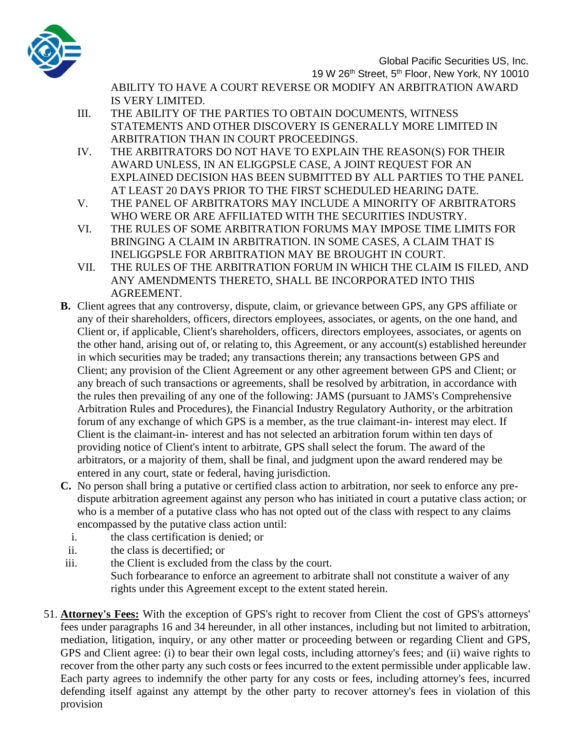

19 W 26<sup>th</sup> Street, 5<sup>th</sup> Floor, New York, NY 10010

ABILITY TO HAVE A COURT REVERSE OR MODIFY AN ARBITRATION AWARD IS VERY LIMITED.

- III. THE ABILITY OF THE PARTIES TO OBTAIN DOCUMENTS, WITNESS STATEMENTS AND OTHER DISCOVERY IS GENERALLY MORE LIMITED IN ARBITRATION THAN IN COURT PROCEEDINGS.
- IV. THE ARBITRATORS DO NOT HAVE TO EXPLAIN THE REASON(S) FOR THEIR AWARD UNLESS, IN AN ELIGGPSLE CASE, A JOINT REQUEST FOR AN EXPLAINED DECISION HAS BEEN SUBMITTED BY ALL PARTIES TO THE PANEL AT LEAST 20 DAYS PRIOR TO THE FIRST SCHEDULED HEARING DATE.
- V. THE PANEL OF ARBITRATORS MAY INCLUDE A MINORITY OF ARBITRATORS WHO WERE OR ARE AFFILIATED WITH THE SECURITIES INDUSTRY.
- VI. THE RULES OF SOME ARBITRATION FORUMS MAY IMPOSE TIME LIMITS FOR BRINGING A CLAIM IN ARBITRATION. IN SOME CASES, A CLAIM THAT IS INELIGGPSLE FOR ARBITRATION MAY BE BROUGHT IN COURT.
- VII. THE RULES OF THE ARBITRATION FORUM IN WHICH THE CLAIM IS FILED, AND ANY AMENDMENTS THERETO, SHALL BE INCORPORATED INTO THIS AGREEMENT.
- **B.** Client agrees that any controversy, dispute, claim, or grievance between GPS, any GPS affiliate or any of their shareholders, officers, directors employees, associates, or agents, on the one hand, and Client or, if applicable, Client's shareholders, officers, directors employees, associates, or agents on the other hand, arising out of, or relating to, this Agreement, or any account(s) established hereunder in which securities may be traded; any transactions therein; any transactions between GPS and Client; any provision of the Client Agreement or any other agreement between GPS and Client; or any breach of such transactions or agreements, shall be resolved by arbitration, in accordance with the rules then prevailing of any one of the following: JAMS (pursuant to JAMS's Comprehensive Arbitration Rules and Procedures), the Financial Industry Regulatory Authority, or the arbitration forum of any exchange of which GPS is a member, as the true claimant-in- interest may elect. If Client is the claimant-in- interest and has not selected an arbitration forum within ten days of providing notice of Client's intent to arbitrate, GPS shall select the forum. The award of the arbitrators, or a majority of them, shall be final, and judgment upon the award rendered may be entered in any court, state or federal, having jurisdiction.
- **C.** No person shall bring a putative or certified class action to arbitration, nor seek to enforce any predispute arbitration agreement against any person who has initiated in court a putative class action; or who is a member of a putative class who has not opted out of the class with respect to any claims encompassed by the putative class action until:
	- i. the class certification is denied; or
	- ii. the class is decertified; or
- iii. the Client is excluded from the class by the court. Such forbearance to enforce an agreement to arbitrate shall not constitute a waiver of any rights under this Agreement except to the extent stated herein.
- 51. **Attorney's Fees:** With the exception of GPS's right to recover from Client the cost of GPS's attorneys' fees under paragraphs 16 and 34 hereunder, in all other instances, including but not limited to arbitration, mediation, litigation, inquiry, or any other matter or proceeding between or regarding Client and GPS, GPS and Client agree: (i) to bear their own legal costs, including attorney's fees; and (ii) waive rights to recover from the other party any such costs or fees incurred to the extent permissible under applicable law. Each party agrees to indemnify the other party for any costs or fees, including attorney's fees, incurred defending itself against any attempt by the other party to recover attorney's fees in violation of this provision